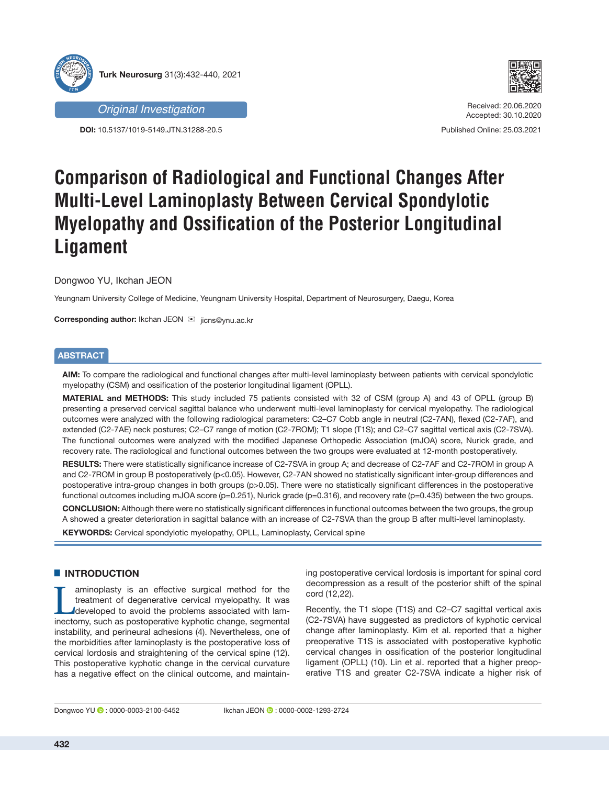

**DOI:** 10.5137/1019-5149.JTN.31288-20.5



Received: 20.06.2020 Accepted: 30.10.2020

Published Online: 25.03.2021

# **Comparison of Radiological and Functional Changes After Multi-Level Laminoplasty Between Cervical Spondylotic Myelopathy and Ossification of the Posterior Longitudinal Ligament**

Dongwoo YU, Ikchan JEON

Yeungnam University College of Medicine, Yeungnam University Hospital, Department of Neurosurgery, Daegu, Korea

**Corresponding author:** Ikchan JEON <sup>⊠</sup> jicns@ynu.ac.kr

# **ABSTRACT**

**AIM:** To compare the radiological and functional changes after multi-level laminoplasty between patients with cervical spondylotic myelopathy (CSM) and ossification of the posterior longitudinal ligament (OPLL).

**MATERIAL and METHODS:** This study included 75 patients consisted with 32 of CSM (group A) and 43 of OPLL (group B) presenting a preserved cervical sagittal balance who underwent multi-level laminoplasty for cervical myelopathy. The radiological outcomes were analyzed with the following radiological parameters: C2–C7 Cobb angle in neutral (C2-7AN), flexed (C2-7AF), and extended (C2-7AE) neck postures; C2–C7 range of motion (C2-7ROM); T1 slope (T1S); and C2–C7 sagittal vertical axis (C2-7SVA). The functional outcomes were analyzed with the modified Japanese Orthopedic Association (mJOA) score, Nurick grade, and recovery rate. The radiological and functional outcomes between the two groups were evaluated at 12-month postoperatively.

**RESULTS:** There were statistically significance increase of C2-7SVA in group A; and decrease of C2-7AF and C2-7ROM in group A and C2-7ROM in group B postoperatively (p<0.05). However, C2-7AN showed no statistically significant inter-group differences and postoperative intra-group changes in both groups (p>0.05). There were no statistically significant differences in the postoperative functional outcomes including mJOA score (p=0.251), Nurick grade (p=0.316), and recovery rate (p=0.435) between the two groups.

**CONCLUSION:** Although there were no statistically significant differences in functional outcomes between the two groups, the group A showed a greater deterioration in sagittal balance with an increase of C2-7SVA than the group B after multi-level laminoplasty.

**KEYWORDS:** Cervical spondylotic myelopathy, OPLL, Laminoplasty, Cervical spine

# **E** INTRODUCTION

I aminoplasty is an effective surgical method for the<br>treatment of degenerative cervical myelopathy. It was<br>developed to avoid the problems associated with lam-<br>inectomy such as postpoerative kyphotic change segmental treatment of degenerative cervical myelopathy. It was developed to avoid the problems associated with laminectomy, such as postoperative kyphotic change, segmental instability, and perineural adhesions (4). Nevertheless, one of the morbidities after laminoplasty is the postoperative loss of cervical lordosis and straightening of the cervical spine (12). This postoperative kyphotic change in the cervical curvature has a negative effect on the clinical outcome, and maintaining postoperative cervical lordosis is important for spinal cord decompression as a result of the posterior shift of the spinal cord (12,22).

Recently, the T1 slope (T1S) and C2–C7 sagittal vertical axis (C2-7SVA) have suggested as predictors of kyphotic cervical change after laminoplasty. Kim et al. reported that a higher preoperative T1S is associated with postoperative kyphotic cervical changes in ossification of the posterior longitudinal ligament (OPLL) (10). Lin et al. reported that a higher preoperative T1S and greater C2-7SVA indicate a higher risk of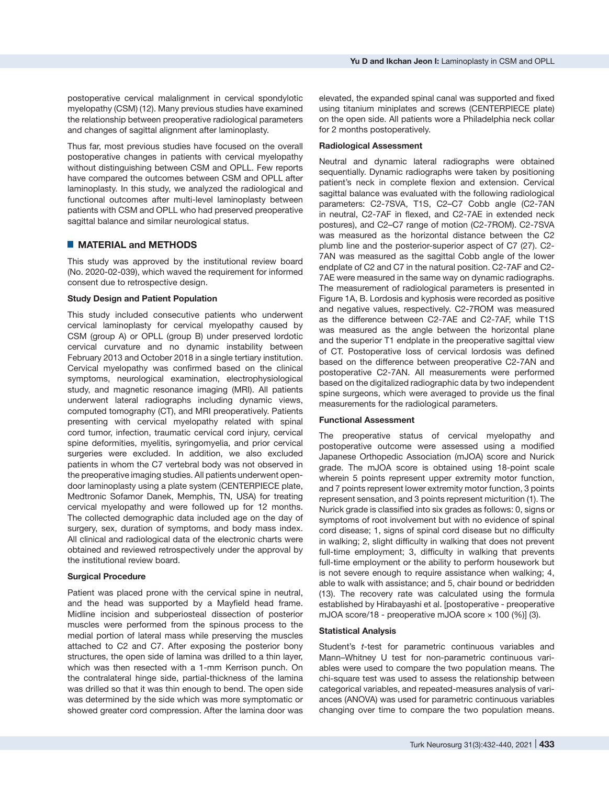postoperative cervical malalignment in cervical spondylotic myelopathy (CSM) (12). Many previous studies have examined the relationship between preoperative radiological parameters and changes of sagittal alignment after laminoplasty.

Thus far, most previous studies have focused on the overall postoperative changes in patients with cervical myelopathy without distinguishing between CSM and OPLL. Few reports have compared the outcomes between CSM and OPLL after laminoplasty. In this study, we analyzed the radiological and functional outcomes after multi-level laminoplasty between patients with CSM and OPLL who had preserved preoperative sagittal balance and similar neurological status.

## █ **MATERIAL and METHODS**

This study was approved by the institutional review board (No. 2020-02-039), which waved the requirement for informed consent due to retrospective design.

### **Study Design and Patient Population**

This study included consecutive patients who underwent cervical laminoplasty for cervical myelopathy caused by CSM (group A) or OPLL (group B) under preserved lordotic cervical curvature and no dynamic instability between February 2013 and October 2018 in a single tertiary institution. Cervical myelopathy was confirmed based on the clinical symptoms, neurological examination, electrophysiological study, and magnetic resonance imaging (MRI). All patients underwent lateral radiographs including dynamic views, computed tomography (CT), and MRI preoperatively. Patients presenting with cervical myelopathy related with spinal cord tumor, infection, traumatic cervical cord injury, cervical spine deformities, myelitis, syringomyelia, and prior cervical surgeries were excluded. In addition, we also excluded patients in whom the C7 vertebral body was not observed in the preoperative imaging studies. All patients underwent opendoor laminoplasty using a plate system (CENTERPIECE plate, Medtronic Sofamor Danek, Memphis, TN, USA) for treating cervical myelopathy and were followed up for 12 months. The collected demographic data included age on the day of surgery, sex, duration of symptoms, and body mass index. All clinical and radiological data of the electronic charts were obtained and reviewed retrospectively under the approval by the institutional review board.

## **Surgical Procedure**

Patient was placed prone with the cervical spine in neutral, and the head was supported by a Mayfield head frame. Midline incision and subperiosteal dissection of posterior muscles were performed from the spinous process to the medial portion of lateral mass while preserving the muscles attached to C2 and C7. After exposing the posterior bony structures, the open side of lamina was drilled to a thin layer, which was then resected with a 1-mm Kerrison punch. On the contralateral hinge side, partial-thickness of the lamina was drilled so that it was thin enough to bend. The open side was determined by the side which was more symptomatic or showed greater cord compression. After the lamina door was

elevated, the expanded spinal canal was supported and fixed using titanium miniplates and screws (CENTERPIECE plate) on the open side. All patients wore a Philadelphia neck collar for 2 months postoperatively.

#### **Radiological Assessment**

Neutral and dynamic lateral radiographs were obtained sequentially. Dynamic radiographs were taken by positioning patient's neck in complete flexion and extension. Cervical sagittal balance was evaluated with the following radiological parameters: C2-7SVA, T1S, C2–C7 Cobb angle (C2-7AN in neutral, C2-7AF in flexed, and C2-7AE in extended neck postures), and C2–C7 range of motion (C2-7ROM). C2-7SVA was measured as the horizontal distance between the C2 plumb line and the posterior-superior aspect of C7 (27). C2- 7AN was measured as the sagittal Cobb angle of the lower endplate of C2 and C7 in the natural position. C2-7AF and C2- 7AE were measured in the same way on dynamic radiographs. The measurement of radiological parameters is presented in Figure 1A, B. Lordosis and kyphosis were recorded as positive and negative values, respectively. C2-7ROM was measured as the difference between C2-7AE and C2-7AF, while T1S was measured as the angle between the horizontal plane and the superior T1 endplate in the preoperative sagittal view of CT. Postoperative loss of cervical lordosis was defined based on the difference between preoperative C2-7AN and postoperative C2-7AN. All measurements were performed based on the digitalized radiographic data by two independent spine surgeons, which were averaged to provide us the final measurements for the radiological parameters.

#### **Functional Assessment**

The preoperative status of cervical myelopathy and postoperative outcome were assessed using a modified Japanese Orthopedic Association (mJOA) score and Nurick grade. The mJOA score is obtained using 18-point scale wherein 5 points represent upper extremity motor function, and 7 points represent lower extremity motor function, 3 points represent sensation, and 3 points represent micturition (1). The Nurick grade is classified into six grades as follows: 0, signs or symptoms of root involvement but with no evidence of spinal cord disease; 1, signs of spinal cord disease but no difficulty in walking; 2, slight difficulty in walking that does not prevent full-time employment; 3, difficulty in walking that prevents full-time employment or the ability to perform housework but is not severe enough to require assistance when walking; 4, able to walk with assistance; and 5, chair bound or bedridden (13). The recovery rate was calculated using the formula established by Hirabayashi et al. [postoperative - preoperative mJOA score/18 - preoperative mJOA score × 100 (%)] (3).

#### **Statistical Analysis**

Student's *t*-test for parametric continuous variables and Mann–Whitney U test for non-parametric continuous variables were used to compare the two population means. The chi-square test was used to assess the relationship between categorical variables, and repeated-measures analysis of variances (ANOVA) was used for parametric continuous variables changing over time to compare the two population means.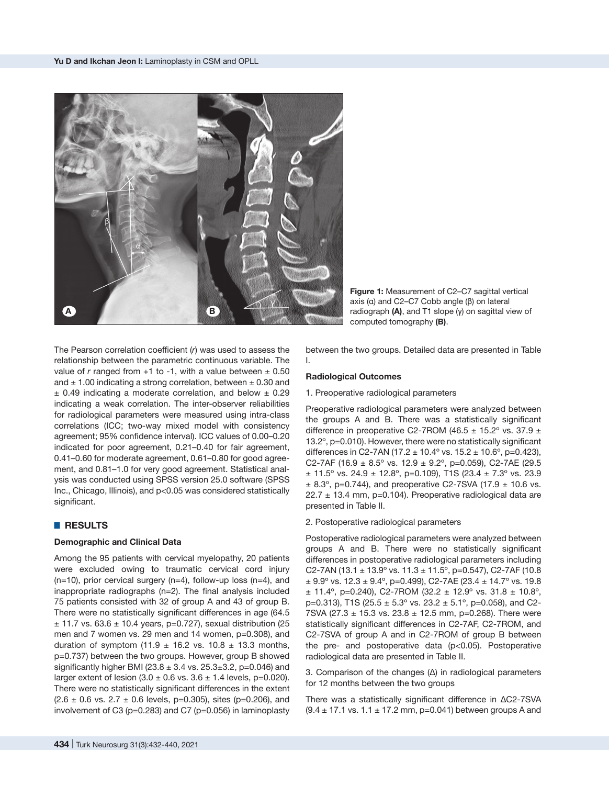

**Figure 1:** Measurement of C2–C7 sagittal vertical axis (α) and C2–C7 Cobb angle (β) on lateral radiograph **(A)**, and T1 slope (γ) on sagittal view of computed tomography **(B)**.

The Pearson correlation coefficient (*r*) was used to assess the relationship between the parametric continuous variable. The value of  $r$  ranged from  $+1$  to  $-1$ , with a value between  $\pm$  0.50 and  $\pm$  1.00 indicating a strong correlation, between  $\pm$  0.30 and  $\pm$  0.49 indicating a moderate correlation, and below  $\pm$  0.29 indicating a weak correlation. The inter-observer reliabilities for radiological parameters were measured using intra-class correlations (ICC; two-way mixed model with consistency agreement; 95% confidence interval). ICC values of 0.00–0.20 indicated for poor agreement, 0.21–0.40 for fair agreement, 0.41–0.60 for moderate agreement, 0.61–0.80 for good agreement, and 0.81–1.0 for very good agreement. Statistical analysis was conducted using SPSS version 25.0 software (SPSS Inc., Chicago, Illinois), and p<0.05 was considered statistically significant.

## █ **RESULTS**

## **Demographic and Clinical Data**

Among the 95 patients with cervical myelopathy, 20 patients were excluded owing to traumatic cervical cord injury  $(n=10)$ , prior cervical surgery  $(n=4)$ , follow-up loss  $(n=4)$ , and inappropriate radiographs (n=2). The final analysis included 75 patients consisted with 32 of group A and 43 of group B. There were no statistically significant differences in age (64.5  $\pm$  11.7 vs. 63.6  $\pm$  10.4 years, p=0.727), sexual distribution (25 men and 7 women vs. 29 men and 14 women, p=0.308), and duration of symptom (11.9  $\pm$  16.2 vs. 10.8  $\pm$  13.3 months, p=0.737) between the two groups. However, group B showed significantly higher BMI (23.8  $\pm$  3.4 vs. 25.3 $\pm$ 3.2, p=0.046) and larger extent of lesion  $(3.0 \pm 0.6 \text{ vs. } 3.6 \pm 1.4 \text{ levels}, \text{ p=0.020}).$ There were no statistically significant differences in the extent  $(2.6 \pm 0.6 \text{ vs. } 2.7 \pm 0.6 \text{ levels}, \text{ p=0.305}), \text{ sites } (\text{p=0.206}), \text{ and}$ involvement of C3 ( $p=0.283$ ) and C7 ( $p=0.056$ ) in laminoplasty

between the two groups. Detailed data are presented in Table I.

#### **Radiological Outcomes**

1. Preoperative radiological parameters

Preoperative radiological parameters were analyzed between the groups A and B. There was a statistically significant difference in preoperative C2-7ROM (46.5  $\pm$  15.2° vs. 37.9  $\pm$ 13.2º, p=0.010). However, there were no statistically significant differences in C2-7AN (17.2  $\pm$  10.4° vs. 15.2  $\pm$  10.6°, p=0.423), C2-7AF (16.9  $\pm$  8.5° vs. 12.9  $\pm$  9.2°, p=0.059), C2-7AE (29.5  $\pm$  11.5° vs. 24.9  $\pm$  12.8°, p=0.109), T1S (23.4  $\pm$  7.3° vs. 23.9  $\pm$  8.3°, p=0.744), and preoperative C2-7SVA (17.9  $\pm$  10.6 vs.  $22.7 \pm 13.4$  mm, p=0.104). Preoperative radiological data are presented in Table II.

#### 2. Postoperative radiological parameters

Postoperative radiological parameters were analyzed between groups A and B. There were no statistically significant differences in postoperative radiological parameters including C2-7AN (13.1  $\pm$  13.9° vs. 11.3  $\pm$  11.5°, p=0.547), C2-7AF (10.8  $\pm$  9.9 $\degree$  vs. 12.3  $\pm$  9.4 $\degree$ , p=0.499), C2-7AE (23.4  $\pm$  14.7 $\degree$  vs. 19.8  $\pm$  11.4°, p=0.240), C2-7ROM (32.2  $\pm$  12.9° vs. 31.8  $\pm$  10.8°, p=0.313), T1S (25.5  $\pm$  5.3° vs. 23.2  $\pm$  5.1°, p=0.058), and C2-7SVA (27.3  $\pm$  15.3 vs. 23.8  $\pm$  12.5 mm, p=0.268). There were statistically significant differences in C2-7AF, C2-7ROM, and C2-7SVA of group A and in C2-7ROM of group B between the pre- and postoperative data (p<0.05). Postoperative radiological data are presented in Table II.

3. Comparison of the changes (Δ) in radiological parameters for 12 months between the two groups

There was a statistically significant difference in ΔC2-7SVA  $(9.4 \pm 17.1 \text{ vs. } 1.1 \pm 17.2 \text{ mm}, p=0.041)$  between groups A and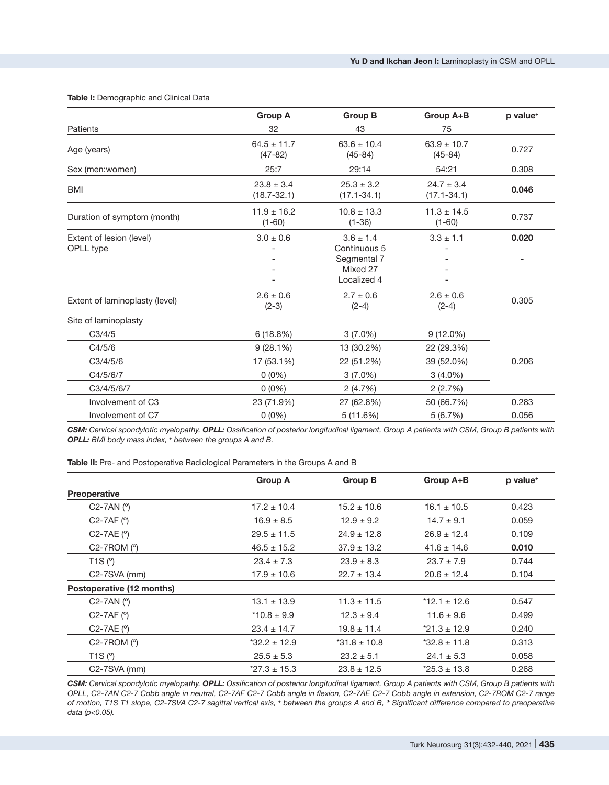### **Table I:** Demographic and Clinical Data

|                                       | <b>Group A</b>                    | <b>Group B</b>                                           | Group A+B                         | p value <sup>+</sup> |
|---------------------------------------|-----------------------------------|----------------------------------------------------------|-----------------------------------|----------------------|
| Patients                              | 32                                | 43                                                       | 75                                |                      |
| Age (years)                           | $64.5 \pm 11.7$<br>$(47-82)$      | $63.6 \pm 10.4$<br>$(45 - 84)$                           | $63.9 \pm 10.7$<br>$(45 - 84)$    | 0.727                |
| Sex (men:women)                       | 25:7                              | 29:14                                                    | 54:21                             | 0.308                |
| <b>BMI</b>                            | $23.8 \pm 3.4$<br>$(18.7 - 32.1)$ | $25.3 \pm 3.2$<br>$(17.1 - 34.1)$                        | $24.7 \pm 3.4$<br>$(17.1 - 34.1)$ | 0.046                |
| Duration of symptom (month)           | $11.9 \pm 16.2$<br>$(1-60)$       | $10.8 \pm 13.3$<br>$(1 - 36)$                            | $11.3 \pm 14.5$<br>$(1-60)$       | 0.737                |
| Extent of lesion (level)<br>OPLL type | $3.0 \pm 0.6$                     | $3.6 \pm 1.4$<br>Continuous 5<br>Segmental 7<br>Mixed 27 | $3.3 \pm 1.1$                     | 0.020                |
|                                       |                                   | Localized 4                                              |                                   |                      |
| Extent of laminoplasty (level)        | $2.6 \pm 0.6$<br>$(2-3)$          | $2.7 \pm 0.6$<br>$(2-4)$                                 | $2.6 \pm 0.6$<br>$(2-4)$          | 0.305                |
| Site of laminoplasty                  |                                   |                                                          |                                   |                      |
| C3/4/5                                | 6(18.8%)                          | $3(7.0\%)$                                               | $9(12.0\%)$                       |                      |
| C4/5/6                                | 9(28.1%)                          | 13 (30.2%)                                               | 22 (29.3%)                        |                      |
| C3/4/5/6                              | 17 (53.1%)                        | 22 (51.2%)                                               | 39 (52.0%)                        | 0.206                |
| C4/5/6/7                              | $0(0\%)$                          | $3(7.0\%)$                                               | $3(4.0\%)$                        |                      |
| C3/4/5/6/7                            | $0(0\%)$                          | 2(4.7%)                                                  | 2(2.7%)                           |                      |
| Involvement of C3                     | 23 (71.9%)                        | 27 (62.8%)                                               | 50 (66.7%)                        | 0.283                |
| Involvement of C7                     | $0(0\%)$                          | 5(11.6%)                                                 | 5(6.7%)                           | 0.056                |

*CSM: Cervical spondylotic myelopathy, OPLL: Ossification of posterior longitudinal ligament, Group A patients with CSM, Group B patients with OPLL: BMI body mass index, <sup>+</sup> between the groups A and B.*

**Table II:** Pre- and Postoperative Radiological Parameters in the Groups A and B

|                           | <b>Group A</b>   | <b>Group B</b>   | Group A+B        | p value <sup>+</sup> |
|---------------------------|------------------|------------------|------------------|----------------------|
| <b>Preoperative</b>       |                  |                  |                  |                      |
| $C2-7AN$ ( $^{\circ}$ )   | $17.2 \pm 10.4$  | $15.2 \pm 10.6$  | $16.1 \pm 10.5$  | 0.423                |
| $C2-7AF$ ( $^{\circ}$ )   | $16.9 \pm 8.5$   | $12.9 \pm 9.2$   | $14.7 \pm 9.1$   | 0.059                |
| $C2-7AE$ ( $^{\circ}$ )   | $29.5 \pm 11.5$  | $24.9 \pm 12.8$  | $26.9 \pm 12.4$  | 0.109                |
| $C2-7ROM$ ( $^{\circ}$ )  | $46.5 \pm 15.2$  | $37.9 \pm 13.2$  | $41.6 \pm 14.6$  | 0.010                |
| T1S(°)                    | $23.4 \pm 7.3$   | $23.9 \pm 8.3$   | $23.7 \pm 7.9$   | 0.744                |
| $C2-7SVA$ (mm)            | $17.9 \pm 10.6$  | $22.7 \pm 13.4$  | $20.6 \pm 12.4$  | 0.104                |
| Postoperative (12 months) |                  |                  |                  |                      |
| $C2-7AN$ ( $^{\circ}$ )   | $13.1 \pm 13.9$  | $11.3 \pm 11.5$  | $*12.1 \pm 12.6$ | 0.547                |
| $C2-7AF$ ( $^{\circ}$ )   | $*10.8 \pm 9.9$  | $12.3 \pm 9.4$   | $11.6 \pm 9.6$   | 0.499                |
| $C2-7AE$ ( $^{\circ}$ )   | $23.4 \pm 14.7$  | $19.8 \pm 11.4$  | $*21.3 \pm 12.9$ | 0.240                |
| $C2-7ROM$ ( $°$ )         | $*32.2 \pm 12.9$ | $*31.8 \pm 10.8$ | $*32.8 \pm 11.8$ | 0.313                |
| T1S(°)                    | $25.5 \pm 5.3$   | $23.2 \pm 5.1$   | $24.1 \pm 5.3$   | 0.058                |
| C <sub>2</sub> -7SVA (mm) | $*27.3 \pm 15.3$ | $23.8 \pm 12.5$  | $*25.3 \pm 13.8$ | 0.268                |

*CSM: Cervical spondylotic myelopathy, OPLL: Ossification of posterior longitudinal ligament, Group A patients with CSM, Group B patients with OPLL, C2-7AN C2-7 Cobb angle in neutral, C2-7AF C2-7 Cobb angle in flexion, C2-7AE C2-7 Cobb angle in extension, C2-7ROM C2-7 range of motion, T1S T1 slope, C2-7SVA C2-7 sagittal vertical axis, <sup>+</sup> between the groups A and B, \* Significant difference compared to preoperative data (p<0.05).*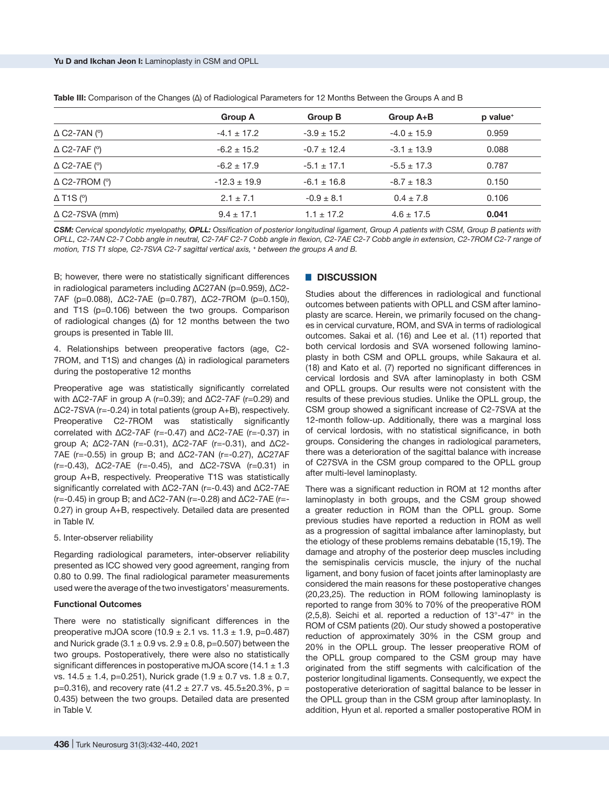|                                         | <b>Group A</b>   | <b>Group B</b>  | Group A+B       | p value <sup>+</sup> |
|-----------------------------------------|------------------|-----------------|-----------------|----------------------|
| $\triangle$ C2-7AN ( $^{\circ}$ )       | $-4.1 \pm 17.2$  | $-3.9 \pm 15.2$ | $-4.0 \pm 15.9$ | 0.959                |
| $\triangle$ C2-7AF ( $\degree$ )        | $-6.2 \pm 15.2$  | $-0.7 \pm 12.4$ | $-3.1 \pm 13.9$ | 0.088                |
| $\triangle$ C2-7AE ( $\degree$ )        | $-6.2 \pm 17.9$  | $-5.1 \pm 17.1$ | $-5.5 \pm 17.3$ | 0.787                |
| $\triangle$ C2-7ROM ( $\degree$ )       | $-12.3 \pm 19.9$ | $-6.1 \pm 16.8$ | $-8.7 \pm 18.3$ | 0.150                |
| $\Delta$ T <sub>1</sub> S ( $\degree$ ) | $2.1 \pm 7.1$    | $-0.9 \pm 8.1$  | $0.4 \pm 7.8$   | 0.106                |
| $\triangle$ C2-7SVA (mm)                | $9.4 \pm 17.1$   | $1.1 \pm 17.2$  | $4.6 \pm 17.5$  | 0.041                |

**Table III:** Comparison of the Changes (Δ) of Radiological Parameters for 12 Months Between the Groups A and B

*CSM: Cervical spondylotic myelopathy, OPLL: Ossification of posterior longitudinal ligament, Group A patients with CSM, Group B patients with OPLL, C2-7AN C2-7 Cobb angle in neutral, C2-7AF C2-7 Cobb angle in flexion, C2-7AE C2-7 Cobb angle in extension, C2-7ROM C2-7 range of motion, T1S T1 slope, C2-7SVA C2-7 sagittal vertical axis, <sup>+</sup> between the groups A and B.*

B; however, there were no statistically significant differences in radiological parameters including ΔC27AN (p=0.959), ΔC2- 7AF (p=0.088), ΔC2-7AE (p=0.787), ΔC2-7ROM (p=0.150), and T1S (p=0.106) between the two groups. Comparison of radiological changes (Δ) for 12 months between the two groups is presented in Table III.

4. Relationships between preoperative factors (age, C2- 7ROM, and T1S) and changes (Δ) in radiological parameters during the postoperative 12 months

Preoperative age was statistically significantly correlated with ΔC2-7AF in group A (r=0.39); and ΔC2-7AF (r=0.29) and ΔC2-7SVA (r=-0.24) in total patients (group A+B), respectively. Preoperative C2-7ROM was statistically significantly correlated with ΔC2-7AF (r=-0.47) and ΔC2-7AE (r=-0.37) in group A; ΔC2-7AN (r=-0.31), ΔC2-7AF (r=-0.31), and ΔC2- 7AE (r=-0.55) in group B; and ΔC2-7AN (r=-0.27), ΔC27AF (r=-0.43), ΔC2-7AE (r=-0.45), and ΔC2-7SVA (r=0.31) in group A+B, respectively. Preoperative T1S was statistically significantly correlated with ΔC2-7AN (r=-0.43) and ΔC2-7AE (r=-0.45) in group B; and ΔC2-7AN (r=-0.28) and ΔC2-7AE (r=- 0.27) in group A+B, respectively. Detailed data are presented in Table IV.

5. Inter-observer reliability

Regarding radiological parameters, inter-observer reliability presented as ICC showed very good agreement, ranging from 0.80 to 0.99. The final radiological parameter measurements used were the average of the two investigators' measurements.

#### **Functional Outcomes**

There were no statistically significant differences in the preoperative mJOA score  $(10.9 \pm 2.1 \text{ vs. } 11.3 \pm 1.9, \text{ p=0.487})$ and Nurick grade  $(3.1 \pm 0.9 \text{ vs. } 2.9 \pm 0.8, \text{ p=0.507})$  between the two groups. Postoperatively, there were also no statistically significant differences in postoperative mJOA score  $(14.1 \pm 1.3)$ vs.  $14.5 \pm 1.4$ , p=0.251), Nurick grade  $(1.9 \pm 0.7 \text{ vs. } 1.8 \pm 0.7)$  $p=0.316$ ), and recovery rate (41.2  $\pm$  27.7 vs. 45.5 $\pm$ 20.3%, p = 0.435) between the two groups. Detailed data are presented in Table V.

## █ **DISCUSSION**

Studies about the differences in radiological and functional outcomes between patients with OPLL and CSM after laminoplasty are scarce. Herein, we primarily focused on the changes in cervical curvature, ROM, and SVA in terms of radiological outcomes. Sakai et al. (16) and Lee et al. (11) reported that both cervical lordosis and SVA worsened following laminoplasty in both CSM and OPLL groups, while Sakaura et al. (18) and Kato et al. (7) reported no significant differences in cervical lordosis and SVA after laminoplasty in both CSM and OPLL groups. Our results were not consistent with the results of these previous studies. Unlike the OPLL group, the CSM group showed a significant increase of C2-7SVA at the 12-month follow-up. Additionally, there was a marginal loss of cervical lordosis, with no statistical significance, in both groups. Considering the changes in radiological parameters, there was a deterioration of the sagittal balance with increase of C27SVA in the CSM group compared to the OPLL group after multi-level laminoplasty.

There was a significant reduction in ROM at 12 months after laminoplasty in both groups, and the CSM group showed a greater reduction in ROM than the OPLL group. Some previous studies have reported a reduction in ROM as well as a progression of sagittal imbalance after laminoplasty, but the etiology of these problems remains debatable (15,19). The damage and atrophy of the posterior deep muscles including the semispinalis cervicis muscle, the injury of the nuchal ligament, and bony fusion of facet joints after laminoplasty are considered the main reasons for these postoperative changes (20,23,25). The reduction in ROM following laminoplasty is reported to range from 30% to 70% of the preoperative ROM (2,5,8). Seichi et al. reported a reduction of 13°-47° in the ROM of CSM patients (20). Our study showed a postoperative reduction of approximately 30% in the CSM group and 20% in the OPLL group. The lesser preoperative ROM of the OPLL group compared to the CSM group may have originated from the stiff segments with calcification of the posterior longitudinal ligaments. Consequently, we expect the postoperative deterioration of sagittal balance to be lesser in the OPLL group than in the CSM group after laminoplasty. In addition, Hyun et al. reported a smaller postoperative ROM in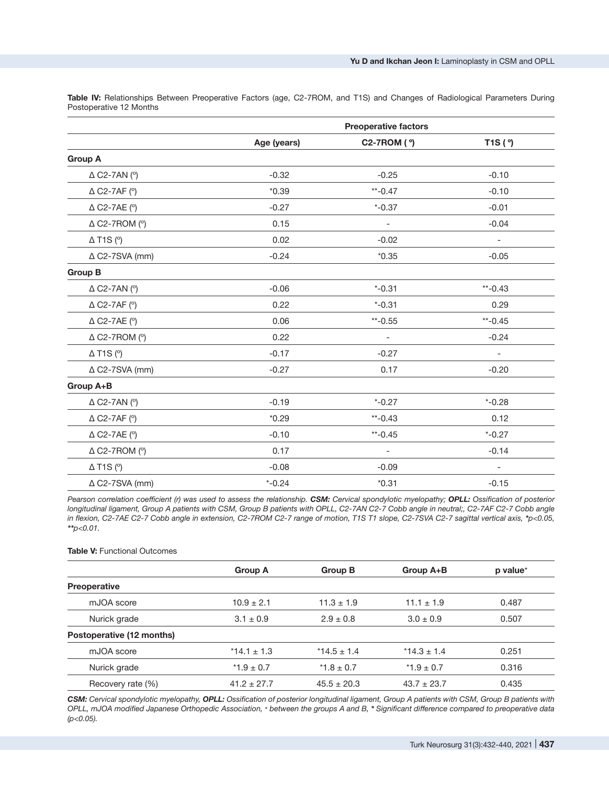**Preoperative factors Age (years) C2-7ROM ( º) T1S ( º) Group A**   $\triangle$  C2-7AN (°)  $-0.32$   $-0.25$   $-0.10$  $\triangle$  C2-7AF (°)  $^{*0.39}$   $^{*2.39}$   $^{*3.39}$   $^{*3.39}$   $^{*4.7}$   $^{*5.0}$   $^{*7.0}$   $^{*7.0}$   $^{*7.0}$   $^{*7.0}$   $^{*7.0}$   $^{*7.0}$   $^{*7.0}$   $^{*7.0}$   $^{*7.0}$   $^{*7.0}$   $^{*7.0}$   $^{*7.0}$   $^{*7.0}$   $^{*7.0}$   $^{*7.0}$   $^{*7.0}$   $^{*$  $\triangle$  C2-7AE (°)  $\angle$  -0.27  $\angle$  -0.37  $\angle$  -0.01  $\triangle$  C2-7ROM (°)  $0.15$  -  $-0.04$  $\Delta$  T1S (°)  $\qquad \qquad 0.02$  -0.02 -0.02 -0.02 -0.02 -0.02 -0.02 -0.02 -0.02 -0.02 -0.02 -0.02 -0.02 -0.02 -0.02 -0.02 -0.02 -0.02 -0.02 -0.02 -0.02 -0.02 -0.02 -0.02 -0.02 -0.02 -0.02 -0.02 -0.02 -0.02 -0.02 -0.02 -0.02 -0  $\triangle$  C2-7SVA (mm)  $-0.24$   $+0.35$   $-0.05$ **Group B**  Δ C2-7AN (º) -0.06 \*-0.31 \*\*-0.43 Δ C2-7AF (º) 0.22 \*-0.31 0.29 Δ C2-7AE (º) 0.06 \*\*-0.55 \*\*-0.45  $\triangle$  C2-7ROM (°)  $0.22$  -  $0.24$  $\Delta$  T1S (°) -0.17 -0.27 -0.27 -0.27 -0.27 -0.27 -0.27 -0.27 -0.27 -0.27 -0.27 -0.27 -0.27 -0.27 -0.27 -0.27 -0.27 -0.27 -0.27 -0.27 -0.27 -0.27 -0.27 -0.27 -0.27 -0.27 -0.27 -0.27 -0.27 -0.27 -0.27 -0.27 -0.27 -0.27 -0.2  $\triangle$  C2-7SVA (mm)  $-0.27$  0.17  $-0.20$ **Group A+B**   $\Delta$  C2-7AN (°)  $\hphantom{00}$   $\hphantom{00}$   $\hphantom{00}$   $\hphantom{00}$   $\hphantom{00}$   $\hphantom{00}$   $\hphantom{00}$   $\hphantom{00}$   $\hphantom{00}$   $\hphantom{00}$   $\hphantom{00}$   $\hphantom{00}$   $\hphantom{00}$   $\hphantom{00}$   $\hphantom{00}$   $\hphantom{00}$   $\hphantom{00}$   $\hphantom{00}$   $\hphantom{0$  $\Delta$  C2-7AF (°)  $^{**}-0.129$   $^{**}-0.43$   $^{**}-0.43$   $^{**}-0.12$  $\Delta$  C2-7AE (°)  $^{*}-0.27$  $\triangle$  C2-7ROM (°)  $0.17$  -14  $\Delta$  T1S (°) -0.08 -0.09 -0.09 -0.09 -0.09 -0.09 -0.09 -0.09 -0.09 -0.09 -0.09 -0.09 -0.09 -0.09 -0.09 -0.09 -0.09 -0.09 -0.09 -0.09 -0.09 -0.09 -0.09 -0.09 -0.09 -0.09 -0.09 -0.09 -0.09 -0.09 -0.09 -0.09 -0.09 -0.09 -0.0  $\triangle$  C2-7SVA (mm)  $*$ -0.24  $*$ 0.31 -0.15

**Table IV:** Relationships Between Preoperative Factors (age, C2-7ROM, and T1S) and Changes of Radiological Parameters During Postoperative 12 Months

*Pearson correlation coefficient (r) was used to assess the relationship. CSM: Cervical spondylotic myelopathy; OPLL: Ossification of posterior longitudinal ligament, Group A patients with CSM, Group B patients with OPLL, C2-7AN C2-7 Cobb angle in neutral;, C2-7AF C2-7 Cobb angle in flexion, C2-7AE C2-7 Cobb angle in extension, C2-7ROM C2-7 range of motion, T1S T1 slope, C2-7SVA C2-7 sagittal vertical axis, \*p<0.05, \*\*p<0.01.*

#### **Table V: Functional Outcomes**

|                           | <b>Group A</b>  | Group B         | Group A+B       | p value <sup>+</sup> |
|---------------------------|-----------------|-----------------|-----------------|----------------------|
| <b>Preoperative</b>       |                 |                 |                 |                      |
| mJOA score                | $10.9 \pm 2.1$  | $11.3 \pm 1.9$  | $11.1 \pm 1.9$  | 0.487                |
| Nurick grade              | $3.1 \pm 0.9$   | $2.9 \pm 0.8$   | $3.0 \pm 0.9$   | 0.507                |
| Postoperative (12 months) |                 |                 |                 |                      |
| mJOA score                | $*14.1 \pm 1.3$ | $*14.5 \pm 1.4$ | $*14.3 \pm 1.4$ | 0.251                |
| Nurick grade              | $*1.9 \pm 0.7$  | $*1.8 \pm 0.7$  | $*1.9 \pm 0.7$  | 0.316                |
| Recovery rate (%)         | $41.2 \pm 27.7$ | $45.5 \pm 20.3$ | $43.7 \pm 23.7$ | 0.435                |

*CSM: Cervical spondylotic myelopathy, OPLL: Ossification of posterior longitudinal ligament, Group A patients with CSM, Group B patients with OPLL, mJOA modified Japanese Orthopedic Association, <sup>+</sup> between the groups A and B, \* Significant difference compared to preoperative data (p<0.05).*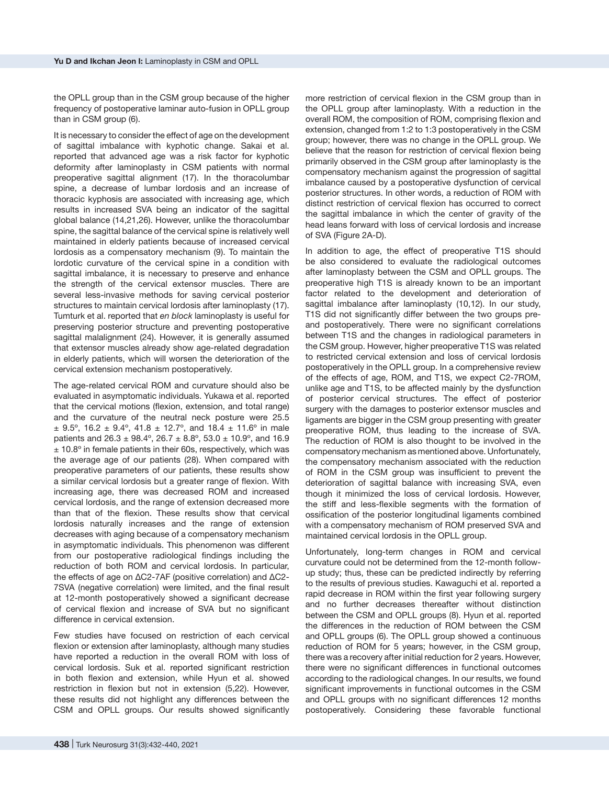the OPLL group than in the CSM group because of the higher frequency of postoperative laminar auto-fusion in OPLL group than in CSM group (6).

It is necessary to consider the effect of age on the development of sagittal imbalance with kyphotic change. Sakai et al. reported that advanced age was a risk factor for kyphotic deformity after laminoplasty in CSM patients with normal preoperative sagittal alignment (17). In the thoracolumbar spine, a decrease of lumbar lordosis and an increase of thoracic kyphosis are associated with increasing age, which results in increased SVA being an indicator of the sagittal global balance (14,21,26). However, unlike the thoracolumbar spine, the sagittal balance of the cervical spine is relatively well maintained in elderly patients because of increased cervical lordosis as a compensatory mechanism (9). To maintain the lordotic curvature of the cervical spine in a condition with sagittal imbalance, it is necessary to preserve and enhance the strength of the cervical extensor muscles. There are several less-invasive methods for saving cervical posterior structures to maintain cervical lordosis after laminoplasty (17). Tumturk et al. reported that *en block* laminoplasty is useful for preserving posterior structure and preventing postoperative sagittal malalignment (24). However, it is generally assumed that extensor muscles already show age-related degradation in elderly patients, which will worsen the deterioration of the cervical extension mechanism postoperatively.

The age-related cervical ROM and curvature should also be evaluated in asymptomatic individuals. Yukawa et al. reported that the cervical motions (flexion, extension, and total range) and the curvature of the neutral neck posture were 25.5  $\pm$  9.5°, 16.2  $\pm$  9.4°, 41.8  $\pm$  12.7°, and 18.4  $\pm$  11.6° in male patients and  $26.3 \pm 98.4^{\circ}$ ,  $26.7 \pm 8.8^{\circ}$ ,  $53.0 \pm 10.9^{\circ}$ , and 16.9  $± 10.8°$  in female patients in their 60s, respectively, which was the average age of our patients (28). When compared with preoperative parameters of our patients, these results show a similar cervical lordosis but a greater range of flexion. With increasing age, there was decreased ROM and increased cervical lordosis, and the range of extension decreased more than that of the flexion. These results show that cervical lordosis naturally increases and the range of extension decreases with aging because of a compensatory mechanism in asymptomatic individuals. This phenomenon was different from our postoperative radiological findings including the reduction of both ROM and cervical lordosis. In particular, the effects of age on ΔC2-7AF (positive correlation) and ΔC2- 7SVA (negative correlation) were limited, and the final result at 12-month postoperatively showed a significant decrease of cervical flexion and increase of SVA but no significant difference in cervical extension.

Few studies have focused on restriction of each cervical flexion or extension after laminoplasty, although many studies have reported a reduction in the overall ROM with loss of cervical lordosis. Suk et al. reported significant restriction in both flexion and extension, while Hyun et al. showed restriction in flexion but not in extension (5,22). However, these results did not highlight any differences between the CSM and OPLL groups. Our results showed significantly

more restriction of cervical flexion in the CSM group than in the OPLL group after laminoplasty. With a reduction in the overall ROM, the composition of ROM, comprising flexion and extension, changed from 1:2 to 1:3 postoperatively in the CSM group; however, there was no change in the OPLL group. We believe that the reason for restriction of cervical flexion being primarily observed in the CSM group after laminoplasty is the compensatory mechanism against the progression of sagittal imbalance caused by a postoperative dysfunction of cervical posterior structures. In other words, a reduction of ROM with distinct restriction of cervical flexion has occurred to correct the sagittal imbalance in which the center of gravity of the head leans forward with loss of cervical lordosis and increase of SVA (Figure 2A-D).

In addition to age, the effect of preoperative T1S should be also considered to evaluate the radiological outcomes after laminoplasty between the CSM and OPLL groups. The preoperative high T1S is already known to be an important factor related to the development and deterioration of sagittal imbalance after laminoplasty (10,12). In our study, T1S did not significantly differ between the two groups preand postoperatively. There were no significant correlations between T1S and the changes in radiological parameters in the CSM group. However, higher preoperative T1S was related to restricted cervical extension and loss of cervical lordosis postoperatively in the OPLL group. In a comprehensive review of the effects of age, ROM, and T1S, we expect C2-7ROM, unlike age and T1S, to be affected mainly by the dysfunction of posterior cervical structures. The effect of posterior surgery with the damages to posterior extensor muscles and ligaments are bigger in the CSM group presenting with greater preoperative ROM, thus leading to the increase of SVA. The reduction of ROM is also thought to be involved in the compensatory mechanism as mentioned above. Unfortunately, the compensatory mechanism associated with the reduction of ROM in the CSM group was insufficient to prevent the deterioration of sagittal balance with increasing SVA, even though it minimized the loss of cervical lordosis. However, the stiff and less-flexible segments with the formation of ossification of the posterior longitudinal ligaments combined with a compensatory mechanism of ROM preserved SVA and maintained cervical lordosis in the OPLL group.

Unfortunately, long-term changes in ROM and cervical curvature could not be determined from the 12-month followup study; thus, these can be predicted indirectly by referring to the results of previous studies. Kawaguchi et al. reported a rapid decrease in ROM within the first year following surgery and no further decreases thereafter without distinction between the CSM and OPLL groups (8). Hyun et al. reported the differences in the reduction of ROM between the CSM and OPLL groups (6). The OPLL group showed a continuous reduction of ROM for 5 years; however, in the CSM group, there was a recovery after initial reduction for 2 years. However, there were no significant differences in functional outcomes according to the radiological changes. In our results, we found significant improvements in functional outcomes in the CSM and OPLL groups with no significant differences 12 months postoperatively. Considering these favorable functional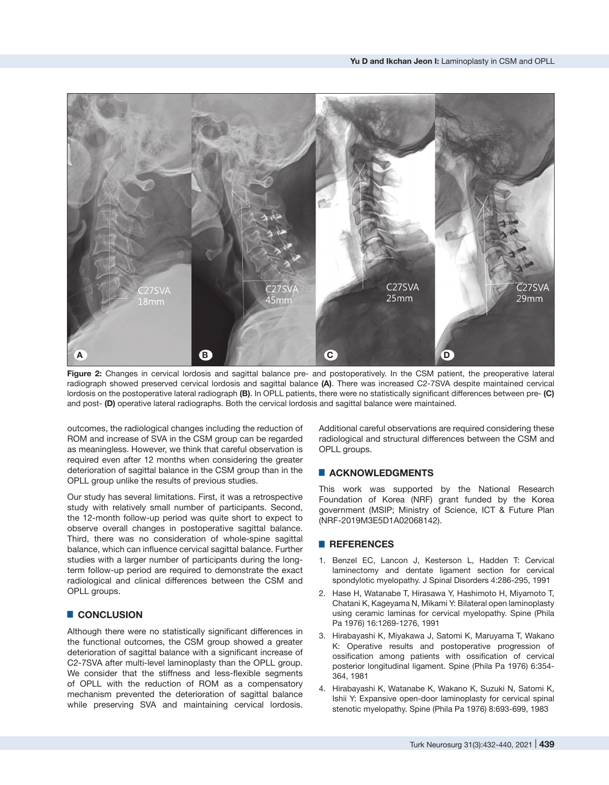

**Figure 2:** Changes in cervical lordosis and sagittal balance pre- and postoperatively. In the CSM patient, the preoperative lateral radiograph showed preserved cervical lordosis and sagittal balance **(A)**. There was increased C2-7SVA despite maintained cervical lordosis on the postoperative lateral radiograph **(B)**. In OPLL patients, there were no statistically significant differences between pre- **(C)**  and post- **(D)** operative lateral radiographs. Both the cervical lordosis and sagittal balance were maintained.

outcomes, the radiological changes including the reduction of ROM and increase of SVA in the CSM group can be regarded as meaningless. However, we think that careful observation is required even after 12 months when considering the greater deterioration of sagittal balance in the CSM group than in the OPLL group unlike the results of previous studies.

Our study has several limitations. First, it was a retrospective study with relatively small number of participants. Second, the 12-month follow-up period was quite short to expect to observe overall changes in postoperative sagittal balance. Third, there was no consideration of whole-spine sagittal balance, which can influence cervical sagittal balance. Further studies with a larger number of participants during the longterm follow-up period are required to demonstrate the exact radiological and clinical differences between the CSM and OPLL groups.

# █ **CONCLUSION**

Although there were no statistically significant differences in the functional outcomes, the CSM group showed a greater deterioration of sagittal balance with a significant increase of C2-7SVA after multi-level laminoplasty than the OPLL group. We consider that the stiffness and less-flexible segments of OPLL with the reduction of ROM as a compensatory mechanism prevented the deterioration of sagittal balance while preserving SVA and maintaining cervical lordosis.

Additional careful observations are required considering these radiological and structural differences between the CSM and OPLL groups.

## █ **ACKNOWLEDGMENTS**

This work was supported by the National Research Foundation of Korea (NRF) grant funded by the Korea government (MSIP; Ministry of Science, ICT & Future Plan (NRF-2019M3E5D1A02068142).

## █ **REFERENCES**

- 1. Benzel EC, Lancon J, Kesterson L, Hadden T: Cervical laminectomy and dentate ligament section for cervical spondylotic myelopathy. J Spinal Disorders 4:286-295, 1991
- 2. Hase H, Watanabe T, Hirasawa Y, Hashimoto H, Miyamoto T, Chatani K, Kageyama N, Mikami Y: Bilateral open laminoplasty using ceramic laminas for cervical myelopathy. Spine (Phila Pa 1976) 16:1269-1276, 1991
- 3. Hirabayashi K, Miyakawa J, Satomi K, Maruyama T, Wakano K: Operative results and postoperative progression of ossification among patients with ossification of cervical posterior longitudinal ligament. Spine (Phila Pa 1976) 6:354- 364, 1981
- 4. Hirabayashi K, Watanabe K, Wakano K, Suzuki N, Satomi K, Ishii Y: Expansive open-door laminoplasty for cervical spinal stenotic myelopathy. Spine (Phila Pa 1976) 8:693-699, 1983